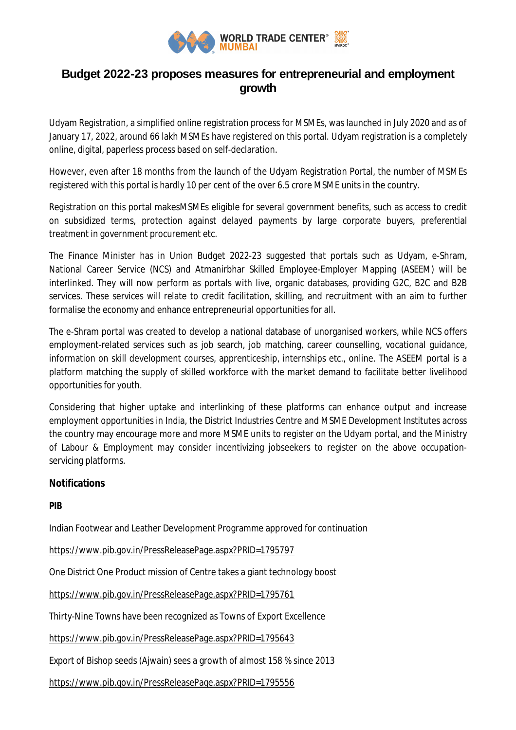

## **Budget 2022-23 proposes measures for entrepreneurial and employment growth**

Udyam Registration, a simplified online registration process for MSMEs, was launched in July 2020 and as of January 17, 2022, around 66 lakh MSMEs have registered on this portal. Udyam registration is a completely online, digital, paperless process based on self-declaration.

However, even after 18 months from the launch of the Udyam Registration Portal, the number of MSMEs registered with this portal is hardly 10 per cent of the over 6.5 crore MSME units in the country.

Registration on this portal makesMSMEs eligible for several government benefits, such as access to credit on subsidized terms, protection against delayed payments by large corporate buyers, preferential treatment in government procurement etc.

The Finance Minister has in Union Budget 2022-23 suggested that portals such as Udyam, e-Shram, National Career Service (NCS) and Atmanirbhar Skilled Employee-Employer Mapping (ASEEM) will be interlinked. They will now perform as portals with live, organic databases, providing G2C, B2C and B2B services. These services will relate to credit facilitation, skilling, and recruitment with an aim to further formalise the economy and enhance entrepreneurial opportunities for all.

The e-Shram portal was created to develop a national database of unorganised workers, while NCS offers employment-related services such as job search, job matching, career counselling, vocational guidance, information on skill development courses, apprenticeship, internships etc., online. The ASEEM portal is a platform matching the supply of skilled workforce with the market demand to facilitate better livelihood opportunities for youth.

Considering that higher uptake and interlinking of these platforms can enhance output and increase employment opportunities in India, the District Industries Centre and MSME Development Institutes across the country may encourage more and more MSME units to register on the Udyam portal, and the Ministry of Labour & Employment may consider incentivizing jobseekers to register on the above occupationservicing platforms.

## **Notifications**

**PIB**

Indian Footwear and Leather Development Programme approved for continuation

https://www.pib.gov.in/PressReleasePage.aspx?PRID=1795797

One District One Product mission of Centre takes a giant technology boost

https://www.pib.gov.in/PressReleasePage.aspx?PRID=1795761

Thirty-Nine Towns have been recognized as Towns of Export Excellence

https://www.pib.gov.in/PressReleasePage.aspx?PRID=1795643

Export of Bishop seeds (Ajwain) sees a growth of almost 158 % since 2013

https://www.pib.gov.in/PressReleasePage.aspx?PRID=1795556